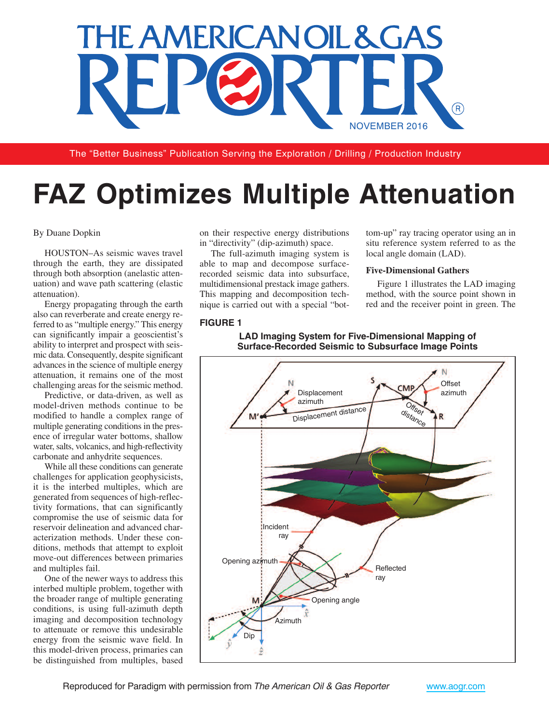

The "Better Business" Publication Serving the Exploration / Drilling / Production Industry

# **FAZ Optimizes Multiple Attenuation**

#### By Duane Dopkin

HOUSTON–As seismic waves travel through the earth, they are dissipated through both absorption (anelastic attenuation) and wave path scattering (elastic attenuation).

Energy propagating through the earth also can reverberate and create energy referred to as "multiple energy." This energy can significantly impair a geoscientist's ability to interpret and prospect with seismic data. Consequently, despite significant advances in the science of multiple energy attenuation, it remains one of the most challenging areas for the seismic method.

Predictive, or data-driven, as well as model-driven methods continue to be modified to handle a complex range of multiple generating conditions in the presence of irregular water bottoms, shallow water, salts, volcanics, and high-reflectivity carbonate and anhydrite sequences.

While all these conditions can generate challenges for application geophysicists, it is the interbed multiples, which are generated from sequences of high-reflectivity formations, that can significantly compromise the use of seismic data for reservoir delineation and advanced characterization methods. Under these conditions, methods that attempt to exploit move-out differences between primaries and multiples fail.

One of the newer ways to address this interbed multiple problem, together with the broader range of multiple generating conditions, is using full-azimuth depth imaging and decomposition technology to attenuate or remove this undesirable energy from the seismic wave field. In this model-driven process, primaries can be distinguished from multiples, based

on their respective energy distributions in "directivity" (dip-azimuth) space.

The full-azimuth imaging system is able to map and decompose surfacerecorded seismic data into subsurface, multidimensional prestack image gathers. This mapping and decomposition technique is carried out with a special "bot-

## **FIGURE 1**

tom-up" ray tracing operator using an in situ reference system referred to as the local angle domain (LAD).

#### **Five-Dimensional Gathers**

Figure 1 illustrates the LAD imaging method, with the source point shown in red and the receiver point in green. The



#### **LAD Imaging System for Five-Dimensional Mapping of Surface-Recorded Seismic to Subsurface Image Points**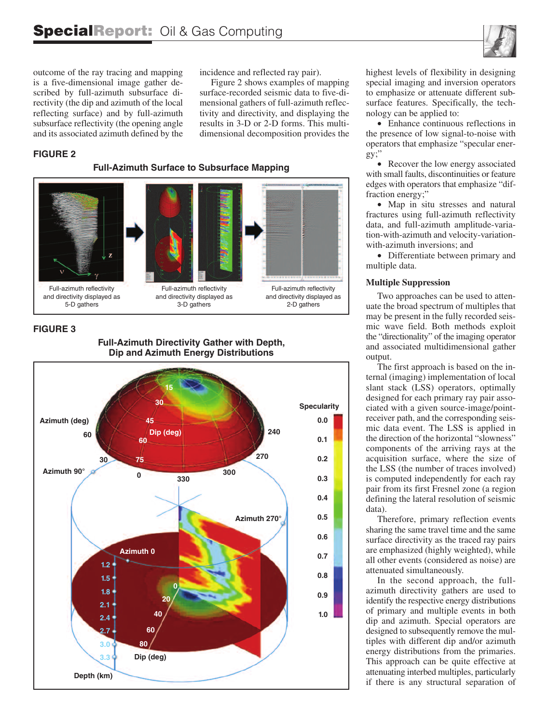outcome of the ray tracing and mapping is a five-dimensional image gather described by full-azimuth subsurface directivity (the dip and azimuth of the local reflecting surface) and by full-azimuth subsurface reflectivity (the opening angle and its associated azimuth defined by the

incidence and reflected ray pair).

Figure 2 shows examples of mapping surface-recorded seismic data to five-dimensional gathers of full-azimuth reflectivity and directivity, and displaying the results in 3-D or 2-D forms. This multidimensional decomposition provides the

#### **FIGURE 2**

**Full-Azimuth Surface to Subsurface Mapping**



#### **FIGURE 3**



**Full-Azimuth Directivity Gather with Depth, Dip and Azimuth Energy Distributions**

highest levels of flexibility in designing special imaging and inversion operators to emphasize or attenuate different subsurface features. Specifically, the technology can be applied to:

• Enhance continuous reflections in the presence of low signal-to-noise with operators that emphasize "specular energy;"

• Recover the low energy associated with small faults, discontinuities or feature edges with operators that emphasize "diffraction energy;"

• Map in situ stresses and natural fractures using full-azimuth reflectivity data, and full-azimuth amplitude-variation-with-azimuth and velocity-variationwith-azimuth inversions; and

• Differentiate between primary and multiple data.

#### **Multiple Suppression**

Two approaches can be used to attenuate the broad spectrum of multiples that may be present in the fully recorded seismic wave field. Both methods exploit the "directionality" of the imaging operator and associated multidimensional gather output.

The first approach is based on the internal (imaging) implementation of local slant stack (LSS) operators, optimally designed for each primary ray pair associated with a given source-image/pointreceiver path, and the corresponding seismic data event. The LSS is applied in the direction of the horizontal "slowness" components of the arriving rays at the acquisition surface, where the size of the LSS (the number of traces involved) is computed independently for each ray pair from its first Fresnel zone (a region defining the lateral resolution of seismic data).

Therefore, primary reflection events sharing the same travel time and the same surface directivity as the traced ray pairs are emphasized (highly weighted), while all other events (considered as noise) are attenuated simultaneously.

In the second approach, the fullazimuth directivity gathers are used to identify the respective energy distributions of primary and multiple events in both dip and azimuth. Special operators are designed to subsequently remove the multiples with different dip and/or azimuth energy distributions from the primaries. This approach can be quite effective at attenuating interbed multiples, particularly if there is any structural separation of